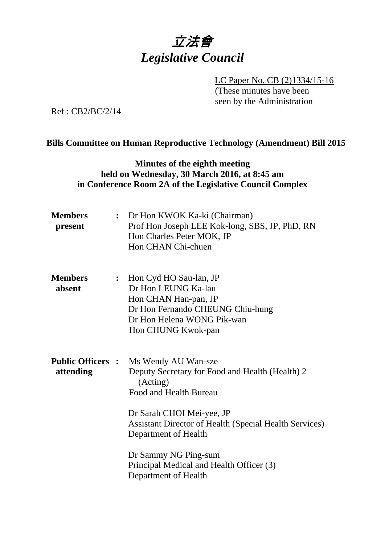

LC Paper No. CB (2)1334/15-16 (These minutes have been seen by the Administration)

Ref : CB2/BC/2/14

#### **Bills Committee on Human Reproductive Technology (Amendment) Bill 2015**

### **Minutes of the eighth meeting held on Wednesday, 30 March 2016, at 8:45 am in Conference Room 2A of the Legislative Council Complex**

| <b>Members</b><br>present             | : Dr Hon KWOK Ka-ki (Chairman)<br>Prof Hon Joseph LEE Kok-long, SBS, JP, PhD, RN<br>Hon Charles Peter MOK, JP<br>Hon CHAN Chi-chuen                                                                                                                                                                    |
|---------------------------------------|--------------------------------------------------------------------------------------------------------------------------------------------------------------------------------------------------------------------------------------------------------------------------------------------------------|
| <b>Members</b><br>absent              | : Hon Cyd HO Sau-lan, JP<br>Dr Hon LEUNG Ka-lau<br>Hon CHAN Han-pan, JP<br>Dr Hon Fernando CHEUNG Chiu-hung<br>Dr Hon Helena WONG Pik-wan<br>Hon CHUNG Kwok-pan                                                                                                                                        |
| <b>Public Officers :</b><br>attending | Ms Wendy AU Wan-sze<br>Deputy Secretary for Food and Health (Health) 2<br>(Acting)<br>Food and Health Bureau<br>Dr Sarah CHOI Mei-yee, JP<br><b>Assistant Director of Health (Special Health Services)</b><br>Department of Health<br>Dr Sammy NG Ping-sum<br>Principal Medical and Health Officer (3) |
|                                       | Department of Health                                                                                                                                                                                                                                                                                   |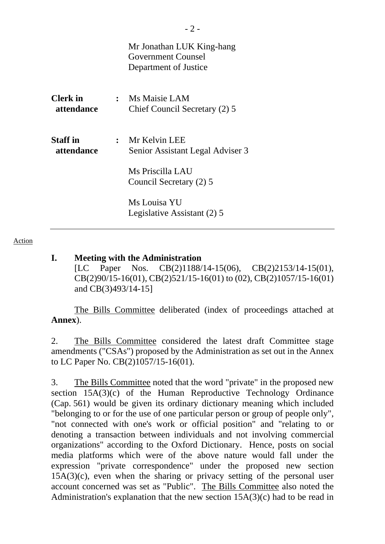|                               | Mr Jonathan LUK King-hang<br>Government Counsel<br>Department of Justice                           |
|-------------------------------|----------------------------------------------------------------------------------------------------|
| <b>Clerk</b> in<br>attendance | : Ms Maisie LAM<br>Chief Council Secretary (2) 5                                                   |
| <b>Staff</b> in<br>attendance | : Mr Kelvin LEE<br>Senior Assistant Legal Adviser 3<br>Ms Priscilla LAU<br>Council Secretary (2) 5 |
|                               | Ms Louisa YU<br>Legislative Assistant (2) 5                                                        |

Action

### **I. Meeting with the Administration**

[LC Paper Nos. CB(2)1188/14-15(06), CB(2)2153/14-15(01), CB(2)90/15-16(01), CB(2)521/15-16(01) to (02), CB(2)1057/15-16(01) and CB(3)493/14-15]

The Bills Committee deliberated (index of proceedings attached at **Annex**).

2. The Bills Committee considered the latest draft Committee stage amendments ("CSAs") proposed by the Administration as set out in the Annex to LC Paper No. CB(2)1057/15-16(01).

3. The Bills Committee noted that the word "private" in the proposed new section 15A(3)(c) of the Human Reproductive Technology Ordinance (Cap. 561) would be given its ordinary dictionary meaning which included "belonging to or for the use of one particular person or group of people only", "not connected with one's work or official position" and "relating to or denoting a transaction between individuals and not involving commercial organizations" according to the Oxford Dictionary. Hence, posts on social media platforms which were of the above nature would fall under the expression "private correspondence" under the proposed new section  $15A(3)(c)$ , even when the sharing or privacy setting of the personal user account concerned was set as "Public". The Bills Committee also noted the Administration's explanation that the new section  $15A(3)(c)$  had to be read in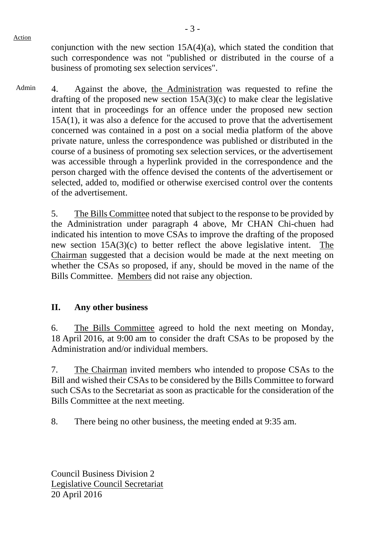Action

conjunction with the new section  $15A(4)(a)$ , which stated the condition that such correspondence was not "published or distributed in the course of a business of promoting sex selection services".

Admin 4. Against the above, the Administration was requested to refine the drafting of the proposed new section  $15A(3)(c)$  to make clear the legislative intent that in proceedings for an offence under the proposed new section 15A(1), it was also a defence for the accused to prove that the advertisement concerned was contained in a post on a social media platform of the above private nature, unless the correspondence was published or distributed in the course of a business of promoting sex selection services, or the advertisement was accessible through a hyperlink provided in the correspondence and the person charged with the offence devised the contents of the advertisement or selected, added to, modified or otherwise exercised control over the contents of the advertisement.

> 5. The Bills Committee noted that subject to the response to be provided by the Administration under paragraph 4 above, Mr CHAN Chi-chuen had indicated his intention to move CSAs to improve the drafting of the proposed new section 15A(3)(c) to better reflect the above legislative intent. The Chairman suggested that a decision would be made at the next meeting on whether the CSAs so proposed, if any, should be moved in the name of the Bills Committee. Members did not raise any objection.

# **II. Any other business**

6. The Bills Committee agreed to hold the next meeting on Monday, 18 April 2016, at 9:00 am to consider the draft CSAs to be proposed by the Administration and/or individual members.

7. The Chairman invited members who intended to propose CSAs to the Bill and wished their CSAs to be considered by the Bills Committee to forward such CSAs to the Secretariat as soon as practicable for the consideration of the Bills Committee at the next meeting.

8. There being no other business, the meeting ended at 9:35 am.

Council Business Division 2 Legislative Council Secretariat 20 April 2016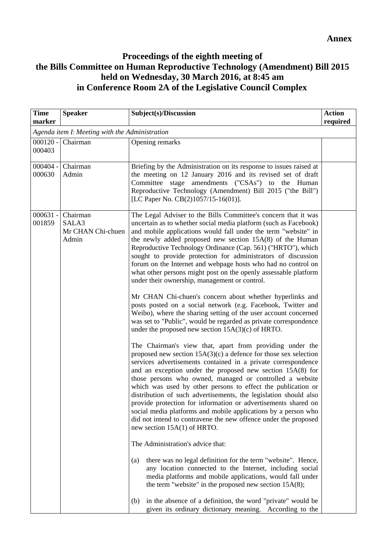# **Proceedings of the eighth meeting of the Bills Committee on Human Reproductive Technology (Amendment) Bill 2015 held on Wednesday, 30 March 2016, at 8:45 am in Conference Room 2A of the Legislative Council Complex**

| <b>Time</b><br>marker                          | <b>Speaker</b>                                  | Subject(s)/Discussion                                                                                                                                                                                                                                                                                                                                                                                                                                                                                                                                                                                                                                                                                                                                                                                                                                                                                                                                                                                                                                                                                                                                                                                                                                                                                                                                                                                                                                                                                                                                                                                                                                                                                                                                                                                                                                                                                                                                                                                 | <b>Action</b><br>required |
|------------------------------------------------|-------------------------------------------------|-------------------------------------------------------------------------------------------------------------------------------------------------------------------------------------------------------------------------------------------------------------------------------------------------------------------------------------------------------------------------------------------------------------------------------------------------------------------------------------------------------------------------------------------------------------------------------------------------------------------------------------------------------------------------------------------------------------------------------------------------------------------------------------------------------------------------------------------------------------------------------------------------------------------------------------------------------------------------------------------------------------------------------------------------------------------------------------------------------------------------------------------------------------------------------------------------------------------------------------------------------------------------------------------------------------------------------------------------------------------------------------------------------------------------------------------------------------------------------------------------------------------------------------------------------------------------------------------------------------------------------------------------------------------------------------------------------------------------------------------------------------------------------------------------------------------------------------------------------------------------------------------------------------------------------------------------------------------------------------------------------|---------------------------|
| Agenda item I: Meeting with the Administration |                                                 |                                                                                                                                                                                                                                                                                                                                                                                                                                                                                                                                                                                                                                                                                                                                                                                                                                                                                                                                                                                                                                                                                                                                                                                                                                                                                                                                                                                                                                                                                                                                                                                                                                                                                                                                                                                                                                                                                                                                                                                                       |                           |
| $000120 -$<br>000403                           | Chairman                                        | Opening remarks                                                                                                                                                                                                                                                                                                                                                                                                                                                                                                                                                                                                                                                                                                                                                                                                                                                                                                                                                                                                                                                                                                                                                                                                                                                                                                                                                                                                                                                                                                                                                                                                                                                                                                                                                                                                                                                                                                                                                                                       |                           |
| $000404 -$<br>000630                           | Chairman<br>Admin                               | Briefing by the Administration on its response to issues raised at<br>the meeting on 12 January 2016 and its revised set of draft<br>Committee stage amendments ("CSAs") to the Human<br>Reproductive Technology (Amendment) Bill 2015 ("the Bill")<br>[LC Paper No. CB(2)1057/15-16(01)].                                                                                                                                                                                                                                                                                                                                                                                                                                                                                                                                                                                                                                                                                                                                                                                                                                                                                                                                                                                                                                                                                                                                                                                                                                                                                                                                                                                                                                                                                                                                                                                                                                                                                                            |                           |
| $000631 -$<br>001859                           | Chairman<br>SALA3<br>Mr CHAN Chi-chuen<br>Admin | The Legal Adviser to the Bills Committee's concern that it was<br>uncertain as to whether social media platform (such as Facebook)<br>and mobile applications would fall under the term "website" in<br>the newly added proposed new section $15A(8)$ of the Human<br>Reproductive Technology Ordinance (Cap. 561) ("HRTO"), which<br>sought to provide protection for administrators of discussion<br>forum on the Internet and webpage hosts who had no control on<br>what other persons might post on the openly assessable platform<br>under their ownership, management or control.<br>Mr CHAN Chi-chuen's concern about whether hyperlinks and<br>posts posted on a social network (e.g. Facebook, Twitter and<br>Weibo), where the sharing setting of the user account concerned<br>was set to "Public", would be regarded as private correspondence<br>under the proposed new section $15A(3)(c)$ of HRTO.<br>The Chairman's view that, apart from providing under the<br>proposed new section $15A(3)(c)$ a defence for those sex selection<br>services advertisements contained in a private correspondence<br>and an exception under the proposed new section $15A(8)$ for<br>those persons who owned, managed or controlled a website<br>which was used by other persons to effect the publication or<br>distribution of such advertisements, the legislation should also<br>provide protection for information or advertisements shared on<br>social media platforms and mobile applications by a person who<br>did not intend to contravene the new offence under the proposed<br>new section $15A(1)$ of HRTO.<br>The Administration's advice that:<br>there was no legal definition for the term "website". Hence,<br>(a)<br>any location connected to the Internet, including social<br>media platforms and mobile applications, would fall under<br>the term "website" in the proposed new section $15A(8)$ ;<br>in the absence of a definition, the word "private" would be<br>(b) |                           |
|                                                |                                                 | given its ordinary dictionary meaning. According to the                                                                                                                                                                                                                                                                                                                                                                                                                                                                                                                                                                                                                                                                                                                                                                                                                                                                                                                                                                                                                                                                                                                                                                                                                                                                                                                                                                                                                                                                                                                                                                                                                                                                                                                                                                                                                                                                                                                                               |                           |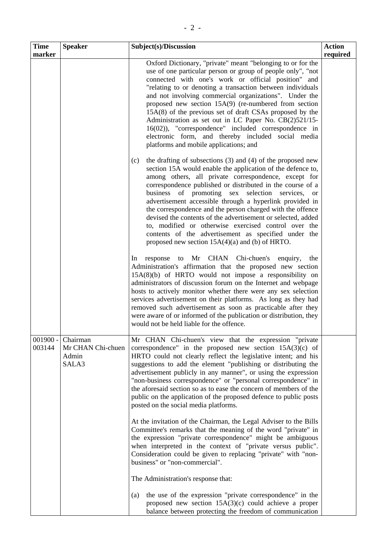| <b>Time</b>          | <b>Speaker</b>                                  | Subject(s)/Discussion                                                                                                                                                                                                                                                                                                                                                                                                                                                                                                                                                                                                                                                                                                                                                                                                                                                                                                                                                                                                                                                                                                                                                                                                                                                                                                                                                                                                                                                                                                                                                                                                                                                                                                                                                                                                                                                                                                        | <b>Action</b> |
|----------------------|-------------------------------------------------|------------------------------------------------------------------------------------------------------------------------------------------------------------------------------------------------------------------------------------------------------------------------------------------------------------------------------------------------------------------------------------------------------------------------------------------------------------------------------------------------------------------------------------------------------------------------------------------------------------------------------------------------------------------------------------------------------------------------------------------------------------------------------------------------------------------------------------------------------------------------------------------------------------------------------------------------------------------------------------------------------------------------------------------------------------------------------------------------------------------------------------------------------------------------------------------------------------------------------------------------------------------------------------------------------------------------------------------------------------------------------------------------------------------------------------------------------------------------------------------------------------------------------------------------------------------------------------------------------------------------------------------------------------------------------------------------------------------------------------------------------------------------------------------------------------------------------------------------------------------------------------------------------------------------------|---------------|
| marker               |                                                 | Oxford Dictionary, "private" meant "belonging to or for the<br>use of one particular person or group of people only", "not<br>connected with one's work or official position" and<br>"relating to or denoting a transaction between individuals<br>and not involving commercial organizations". Under the<br>proposed new section $15A(9)$ (re-numbered from section<br>$15A(8)$ of the previous set of draft CSAs proposed by the<br>Administration as set out in LC Paper No. CB(2)521/15-<br>16(02)), "correspondence" included correspondence in<br>electronic form, and thereby included social media<br>platforms and mobile applications; and<br>the drafting of subsections $(3)$ and $(4)$ of the proposed new<br>(c)<br>section 15A would enable the application of the defence to,<br>among others, all private correspondence, except for<br>correspondence published or distributed in the course of a<br>business of promoting sex selection services, or<br>advertisement accessible through a hyperlink provided in<br>the correspondence and the person charged with the offence<br>devised the contents of the advertisement or selected, added<br>to, modified or otherwise exercised control over the<br>contents of the advertisement as specified under the<br>proposed new section $15A(4)(a)$ and (b) of HRTO.<br>Mr CHAN Chi-chuen's<br>enquiry,<br>response<br>to<br>the<br>In.<br>Administration's affirmation that the proposed new section<br>$15A(8)(b)$ of HRTO would not impose a responsibility on<br>administrators of discussion forum on the Internet and webpage<br>hosts to actively monitor whether there were any sex selection<br>services advertisement on their platforms. As long as they had<br>removed such advertisement as soon as practicable after they<br>were aware of or informed of the publication or distribution, they<br>would not be held liable for the offence. | required      |
| $001900 -$<br>003144 | Chairman<br>Mr CHAN Chi-chuen<br>Admin<br>SALA3 | Mr CHAN Chi-chuen's view that the expression "private<br>correspondence" in the proposed new section $15A(3)(c)$ of<br>HRTO could not clearly reflect the legislative intent; and his<br>suggestions to add the element "publishing or distributing the<br>advertisement publicly in any manner", or using the expression<br>"non-business correspondence" or "personal correspondence" in<br>the aforesaid section so as to ease the concern of members of the<br>public on the application of the proposed defence to public posts<br>posted on the social media platforms.<br>At the invitation of the Chairman, the Legal Adviser to the Bills<br>Committee's remarks that the meaning of the word "private" in<br>the expression "private correspondence" might be ambiguous<br>when interpreted in the context of "private versus public".<br>Consideration could be given to replacing "private" with "non-<br>business" or "non-commercial".<br>The Administration's response that:<br>the use of the expression "private correspondence" in the<br>(a)<br>proposed new section $15A(3)(c)$ could achieve a proper<br>balance between protecting the freedom of communication                                                                                                                                                                                                                                                                                                                                                                                                                                                                                                                                                                                                                                                                                                                                        |               |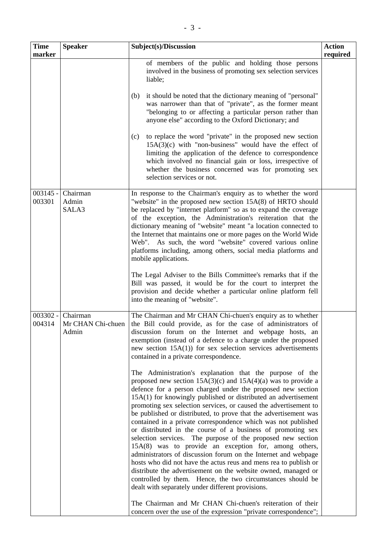| <b>Time</b>          | <b>Speaker</b>                         | Subject(s)/Discussion                                                                                                                                                                                                                                                                                                                                                                                                                                                                                                                                                                                                                                                                                                                                                                                                                                                                                                                                                                    | <b>Action</b> |
|----------------------|----------------------------------------|------------------------------------------------------------------------------------------------------------------------------------------------------------------------------------------------------------------------------------------------------------------------------------------------------------------------------------------------------------------------------------------------------------------------------------------------------------------------------------------------------------------------------------------------------------------------------------------------------------------------------------------------------------------------------------------------------------------------------------------------------------------------------------------------------------------------------------------------------------------------------------------------------------------------------------------------------------------------------------------|---------------|
| marker               |                                        | of members of the public and holding those persons<br>involved in the business of promoting sex selection services<br>liable;                                                                                                                                                                                                                                                                                                                                                                                                                                                                                                                                                                                                                                                                                                                                                                                                                                                            | required      |
|                      |                                        | it should be noted that the dictionary meaning of "personal"<br>(b)<br>was narrower than that of "private", as the former meant<br>"belonging to or affecting a particular person rather than<br>anyone else" according to the Oxford Dictionary; and                                                                                                                                                                                                                                                                                                                                                                                                                                                                                                                                                                                                                                                                                                                                    |               |
|                      |                                        | to replace the word "private" in the proposed new section<br>(c)<br>$15A(3)(c)$ with "non-business" would have the effect of<br>limiting the application of the defence to correspondence<br>which involved no financial gain or loss, irrespective of<br>whether the business concerned was for promoting sex<br>selection services or not.                                                                                                                                                                                                                                                                                                                                                                                                                                                                                                                                                                                                                                             |               |
| $003145 -$<br>003301 | Chairman<br>Admin<br>SALA3             | In response to the Chairman's enquiry as to whether the word<br>"website" in the proposed new section 15A(8) of HRTO should<br>be replaced by "internet platform" so as to expand the coverage<br>of the exception, the Administration's reiteration that the<br>dictionary meaning of "website" meant "a location connected to<br>the Internet that maintains one or more pages on the World Wide<br>Web". As such, the word "website" covered various online<br>platforms including, among others, social media platforms and<br>mobile applications.                                                                                                                                                                                                                                                                                                                                                                                                                                  |               |
|                      |                                        | The Legal Adviser to the Bills Committee's remarks that if the<br>Bill was passed, it would be for the court to interpret the<br>provision and decide whether a particular online platform fell<br>into the meaning of "website".                                                                                                                                                                                                                                                                                                                                                                                                                                                                                                                                                                                                                                                                                                                                                        |               |
| $003302 -$<br>004314 | Chairman<br>Mr CHAN Chi-chuen<br>Admin | The Chairman and Mr CHAN Chi-chuen's enquiry as to whether<br>the Bill could provide, as for the case of administrators of<br>discussion forum on the Internet and webpage hosts, an<br>exemption (instead of a defence to a charge under the proposed<br>new section $15A(1)$ for sex selection services advertisements<br>contained in a private correspondence.                                                                                                                                                                                                                                                                                                                                                                                                                                                                                                                                                                                                                       |               |
|                      |                                        | The Administration's explanation that the purpose of the<br>proposed new section $15A(3)(c)$ and $15A(4)(a)$ was to provide a<br>defence for a person charged under the proposed new section<br>15A(1) for knowingly published or distributed an advertisement<br>promoting sex selection services, or caused the advertisement to<br>be published or distributed, to prove that the advertisement was<br>contained in a private correspondence which was not published<br>or distributed in the course of a business of promoting sex<br>selection services. The purpose of the proposed new section<br>15A(8) was to provide an exception for, among others,<br>administrators of discussion forum on the Internet and webpage<br>hosts who did not have the actus reus and mens rea to publish or<br>distribute the advertisement on the website owned, managed or<br>controlled by them. Hence, the two circumstances should be<br>dealt with separately under different provisions. |               |
|                      |                                        | The Chairman and Mr CHAN Chi-chuen's reiteration of their<br>concern over the use of the expression "private correspondence";                                                                                                                                                                                                                                                                                                                                                                                                                                                                                                                                                                                                                                                                                                                                                                                                                                                            |               |